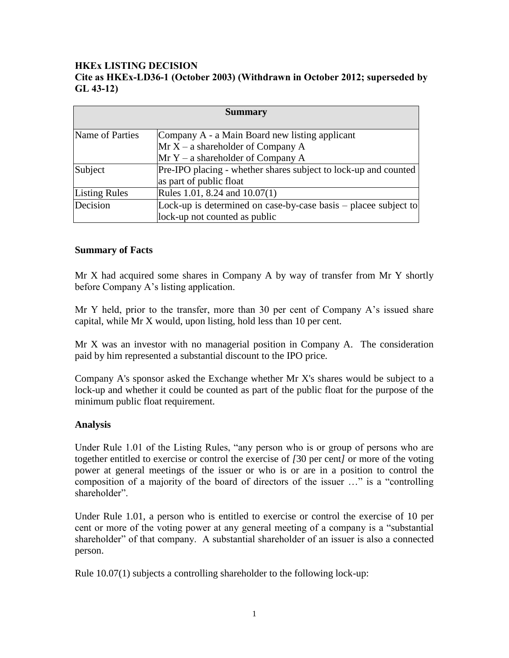## **HKEx LISTING DECISION Cite as HKEx-LD36-1 (October 2003) (Withdrawn in October 2012; superseded by GL 43-12)**

| <b>Summary</b>       |                                                                 |
|----------------------|-----------------------------------------------------------------|
|                      |                                                                 |
| Name of Parties      | Company A - a Main Board new listing applicant                  |
|                      | Mr X – a shareholder of Company A                               |
|                      | $MrY - a shareholder of Company A$                              |
| Subject              | Pre-IPO placing - whether shares subject to lock-up and counted |
|                      | as part of public float                                         |
| <b>Listing Rules</b> | Rules 1.01, 8.24 and 10.07(1)                                   |
| Decision             | Lock-up is determined on case-by-case basis – placee subject to |
|                      | lock-up not counted as public                                   |

## **Summary of Facts**

Mr X had acquired some shares in Company A by way of transfer from Mr Y shortly before Company A's listing application.

Mr Y held, prior to the transfer, more than 30 per cent of Company A's issued share capital, while Mr X would, upon listing, hold less than 10 per cent.

Mr X was an investor with no managerial position in Company A. The consideration paid by him represented a substantial discount to the IPO price.

Company A's sponsor asked the Exchange whether Mr X's shares would be subject to a lock-up and whether it could be counted as part of the public float for the purpose of the minimum public float requirement.

## **Analysis**

Under Rule 1.01 of the Listing Rules, "any person who is or group of persons who are together entitled to exercise or control the exercise of *[*30 per cent*]* or more of the voting power at general meetings of the issuer or who is or are in a position to control the composition of a majority of the board of directors of the issuer ..." is a "controlling shareholder".

Under Rule 1.01, a person who is entitled to exercise or control the exercise of 10 per cent or more of the voting power at any general meeting of a company is a "substantial" shareholder" of that company. A substantial shareholder of an issuer is also a connected person.

Rule 10.07(1) subjects a controlling shareholder to the following lock-up: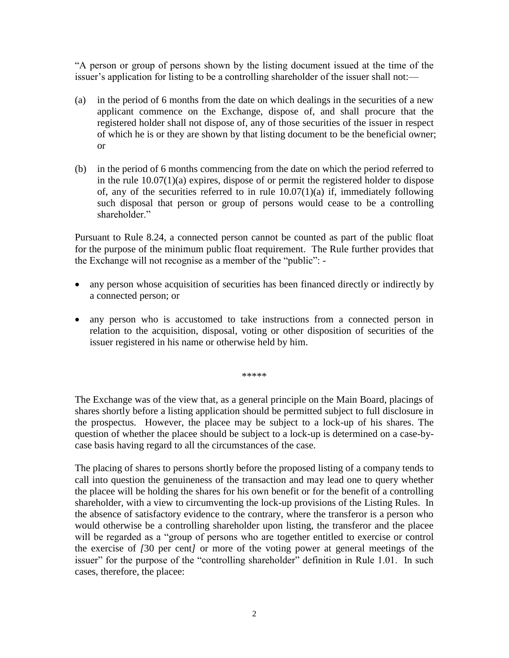―A person or group of persons shown by the listing document issued at the time of the issuer's application for listing to be a controlling shareholder of the issuer shall not:—

- (a) in the period of 6 months from the date on which dealings in the securities of a new applicant commence on the Exchange, dispose of, and shall procure that the registered holder shall not dispose of, any of those securities of the issuer in respect of which he is or they are shown by that listing document to be the beneficial owner; or
- (b) in the period of 6 months commencing from the date on which the period referred to in the rule 10.07(1)(a) expires, dispose of or permit the registered holder to dispose of, any of the securities referred to in rule  $10.07(1)(a)$  if, immediately following such disposal that person or group of persons would cease to be a controlling shareholder."

Pursuant to Rule 8.24, a connected person cannot be counted as part of the public float for the purpose of the minimum public float requirement. The Rule further provides that the Exchange will not recognise as a member of the "public":  $-$ 

- any person whose acquisition of securities has been financed directly or indirectly by a connected person; or
- any person who is accustomed to take instructions from a connected person in relation to the acquisition, disposal, voting or other disposition of securities of the issuer registered in his name or otherwise held by him.

\*\*\*\*\*

The Exchange was of the view that, as a general principle on the Main Board, placings of shares shortly before a listing application should be permitted subject to full disclosure in the prospectus. However, the placee may be subject to a lock-up of his shares. The question of whether the placee should be subject to a lock-up is determined on a case-bycase basis having regard to all the circumstances of the case.

The placing of shares to persons shortly before the proposed listing of a company tends to call into question the genuineness of the transaction and may lead one to query whether the placee will be holding the shares for his own benefit or for the benefit of a controlling shareholder, with a view to circumventing the lock-up provisions of the Listing Rules. In the absence of satisfactory evidence to the contrary, where the transferor is a person who would otherwise be a controlling shareholder upon listing, the transferor and the placee will be regarded as a "group of persons who are together entitled to exercise or control the exercise of *[*30 per cent*]* or more of the voting power at general meetings of the issuer" for the purpose of the "controlling shareholder" definition in Rule 1.01. In such cases, therefore, the placee: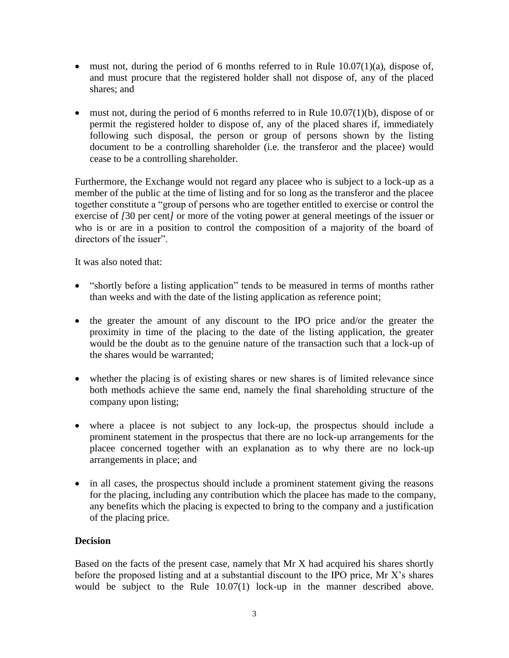- $\bullet$  must not, during the period of 6 months referred to in Rule 10.07(1)(a), dispose of, and must procure that the registered holder shall not dispose of, any of the placed shares; and
- $\bullet$  must not, during the period of 6 months referred to in Rule 10.07(1)(b), dispose of or permit the registered holder to dispose of, any of the placed shares if, immediately following such disposal, the person or group of persons shown by the listing document to be a controlling shareholder (i.e. the transferor and the placee) would cease to be a controlling shareholder.

Furthermore, the Exchange would not regard any placee who is subject to a lock-up as a member of the public at the time of listing and for so long as the transferor and the placee together constitute a "group of persons who are together entitled to exercise or control the exercise of *[*30 per cent*]* or more of the voting power at general meetings of the issuer or who is or are in a position to control the composition of a majority of the board of directors of the issuer".

It was also noted that:

- "shortly before a listing application" tends to be measured in terms of months rather than weeks and with the date of the listing application as reference point;
- the greater the amount of any discount to the IPO price and/or the greater the proximity in time of the placing to the date of the listing application, the greater would be the doubt as to the genuine nature of the transaction such that a lock-up of the shares would be warranted;
- whether the placing is of existing shares or new shares is of limited relevance since both methods achieve the same end, namely the final shareholding structure of the company upon listing;
- where a placee is not subject to any lock-up, the prospectus should include a prominent statement in the prospectus that there are no lock-up arrangements for the placee concerned together with an explanation as to why there are no lock-up arrangements in place; and
- in all cases, the prospectus should include a prominent statement giving the reasons for the placing, including any contribution which the placee has made to the company, any benefits which the placing is expected to bring to the company and a justification of the placing price.

## **Decision**

Based on the facts of the present case, namely that Mr X had acquired his shares shortly before the proposed listing and at a substantial discount to the IPO price, Mr X's shares would be subject to the Rule 10.07(1) lock-up in the manner described above.